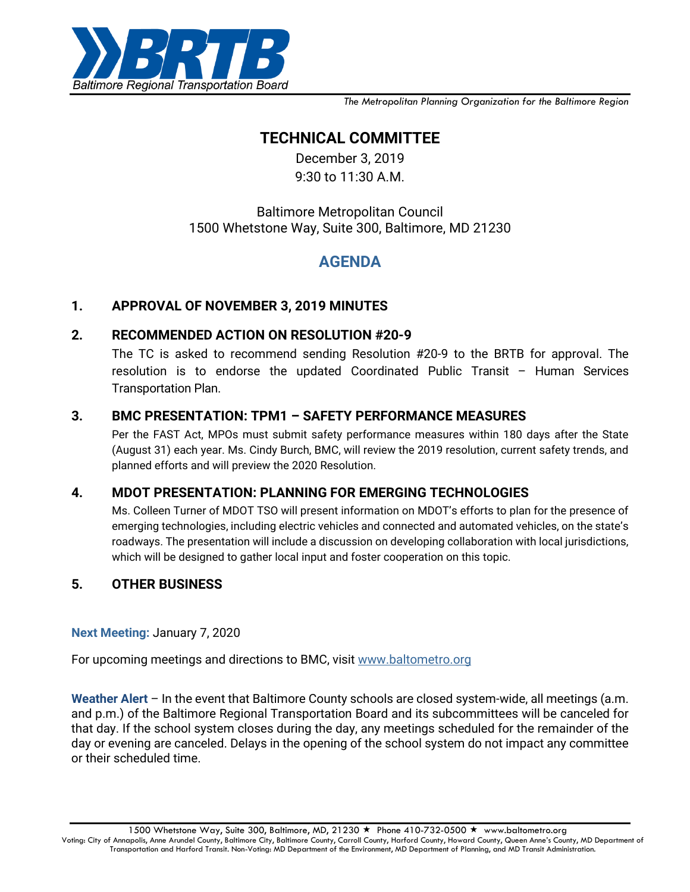

*The Metropolitan Planning Organization for the Baltimore Region*

# **TECHNICAL COMMITTEE**

December 3, 2019 9:30 to 11:30 A.M.

## Baltimore Metropolitan Council 1500 Whetstone Way, Suite 300, Baltimore, MD 21230

## **AGENDA**

## **1. APPROVAL OF NOVEMBER 3, 2019 MINUTES**

#### **2. RECOMMENDED ACTION ON RESOLUTION #20-9**

The TC is asked to recommend sending Resolution #20-9 to the BRTB for approval. The resolution is to endorse the updated Coordinated Public Transit – Human Services Transportation Plan.

### **3. BMC PRESENTATION: TPM1 – SAFETY PERFORMANCE MEASURES**

Per the FAST Act, MPOs must submit safety performance measures within 180 days after the State (August 31) each year. Ms. Cindy Burch, BMC, will review the 2019 resolution, current safety trends, and planned efforts and will preview the 2020 Resolution.

## **4. MDOT PRESENTATION: PLANNING FOR EMERGING TECHNOLOGIES**

Ms. Colleen Turner of MDOT TSO will present information on MDOT's efforts to plan for the presence of emerging technologies, including electric vehicles and connected and automated vehicles, on the state's roadways. The presentation will include a discussion on developing collaboration with local jurisdictions, which will be designed to gather local input and foster cooperation on this topic.

## **5. OTHER BUSINESS**

#### **Next Meeting:** January 7, 2020

For upcoming meetings and directions to BMC, visit [www.baltometro.org](http://www.baltometro.org/)

**Weather Alert** – In the event that Baltimore County schools are closed system-wide, all meetings (a.m. and p.m.) of the Baltimore Regional Transportation Board and its subcommittees will be canceled for that day. If the school system closes during the day, any meetings scheduled for the remainder of the day or evening are canceled. Delays in the opening of the school system do not impact any committee or their scheduled time.